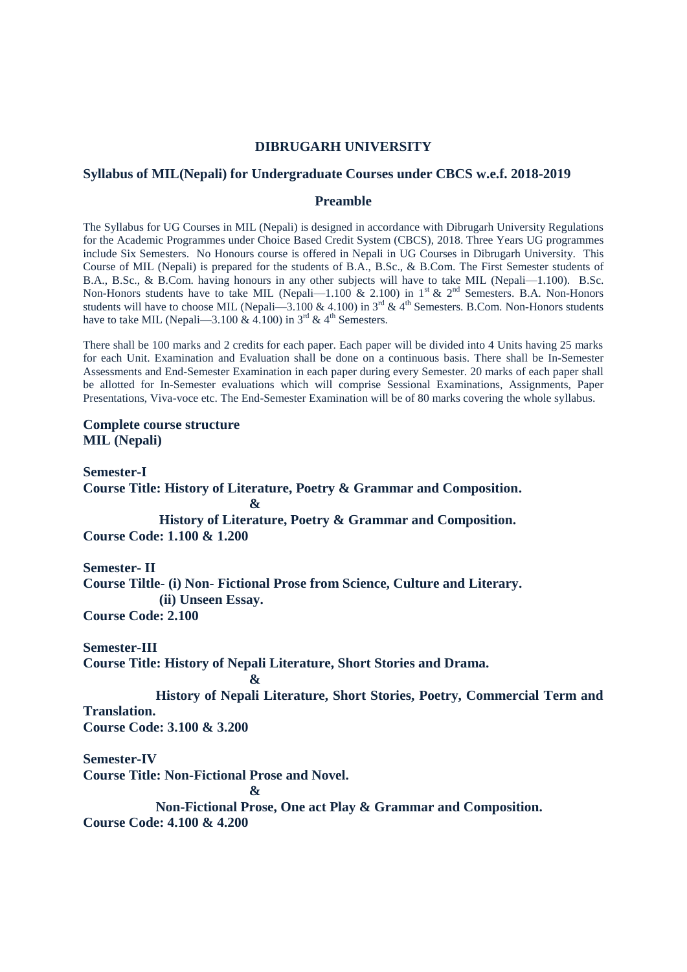# **DIBRUGARH UNIVERSITY**

# **Syllabus of MIL(Nepali) for Undergraduate Courses under CBCS w.e.f. 2018-2019**

# **Preamble**

The Syllabus for UG Courses in MIL (Nepali) is designed in accordance with Dibrugarh University Regulations for the Academic Programmes under Choice Based Credit System (CBCS), 2018. Three Years UG programmes include Six Semesters. No Honours course is offered in Nepali in UG Courses in Dibrugarh University. This Course of MIL (Nepali) is prepared for the students of B.A., B.Sc., & B.Com. The First Semester students of B.A., B.Sc., & B.Com. having honours in any other subjects will have to take MIL (Nepali—1.100). B.Sc. Non-Honors students have to take MIL (Nepali—1.100 & 2.100) in 1<sup>st</sup> & 2<sup>nd</sup> Semesters. B.A. Non-Honors students will have to choose MIL (Nepali—3.100 & 4.100) in  $3^{rd}$  &  $4^{th}$  Semesters. B.Com. Non-Honors students have to take MIL (Nepali—3.100  $\&$  4.100) in 3<sup>rd</sup>  $\&$  4<sup>th</sup> Semesters.

There shall be 100 marks and 2 credits for each paper. Each paper will be divided into 4 Units having 25 marks for each Unit. Examination and Evaluation shall be done on a continuous basis. There shall be In-Semester Assessments and End-Semester Examination in each paper during every Semester. 20 marks of each paper shall be allotted for In-Semester evaluations which will comprise Sessional Examinations, Assignments, Paper Presentations, Viva-voce etc. The End-Semester Examination will be of 80 marks covering the whole syllabus.

# **Complete course structure MIL (Nepali)**

**Semester-I Course Title: History of Literature, Poetry & Grammar and Composition. & History of Literature, Poetry & Grammar and Composition.**

**Course Code: 1.100 & 1.200**

# **Semester- II**

**Course Tiltle- (i) Non- Fictional Prose from Science, Culture and Literary. (ii) Unseen Essay.**

**Course Code: 2.100**

**Semester-III**

**Course Title: History of Nepali Literature, Short Stories and Drama.**

## **&**

 **History of Nepali Literature, Short Stories, Poetry, Commercial Term and Translation.**

**Course Code: 3.100 & 3.200** 

## **Semester-IV**

**Course Title: Non-Fictional Prose and Novel.**

**&**

 **Non-Fictional Prose, One act Play & Grammar and Composition.**

**Course Code: 4.100 & 4.200**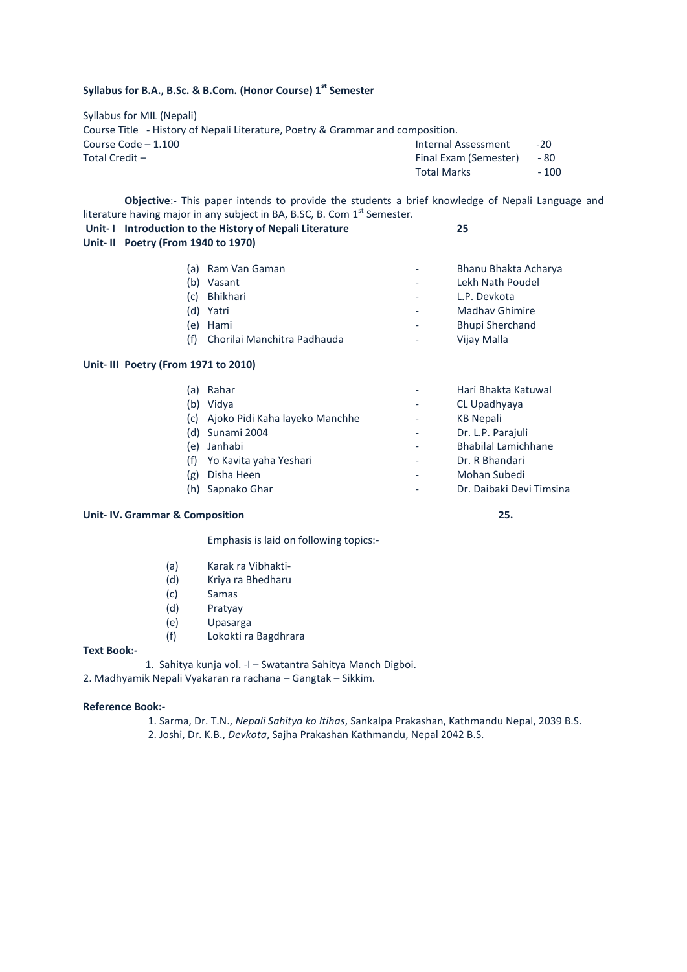# **Syllabus for B.A., B.Sc. & B.Com. (Honor Course) 1st Semester**

Syllabus for MIL (Nepali) Course Title - History of Nepali Literature, Poetry & Grammar and composition. Course Code – 1.100 Internal Assessment -20 Total Credit – Final Exam (Semester) - 80 Total Marks - 100

**Objective**:- This paper intends to provide the students a brief knowledge of Nepali Language and literature having major in any subject in BA, B.SC, B. Com  $1<sup>st</sup>$  Semester.

| Unit-I Introduction to the History of Nepali Literature<br>Unit-II Poetry (From 1940 to 1970) |                             | 25                       |                                      |
|-----------------------------------------------------------------------------------------------|-----------------------------|--------------------------|--------------------------------------|
| (b)                                                                                           | (a) Ram Van Gaman<br>Vasant | $\overline{\phantom{a}}$ | Bhanu Bhakta Ach<br>Lekh Nath Poudel |

|     | (c) Bhikhari                | Ξ.                       | L.P. Devkota           |
|-----|-----------------------------|--------------------------|------------------------|
|     | (d) Yatri                   | -                        | Madhay Ghimire         |
|     | (e) Hami                    | $\overline{\phantom{0}}$ | <b>Bhupi Sherchand</b> |
| (f) | Chorilai Manchitra Padhauda | $\overline{\phantom{a}}$ | Vijay Malla            |

### **Unit- III Poetry (From 1971 to 2010)**

| (a) | Rahar                          | Hari Bhakta Katuwal        |
|-----|--------------------------------|----------------------------|
| (b) | Vidva                          | CL Upadhyaya               |
| (c) | Ajoko Pidi Kaha layeko Manchhe | <b>KB Nepali</b>           |
|     | (d) Sunami 2004                | Dr. L.P. Parajuli          |
| (e) | Janhabi                        | <b>Bhabilal Lamichhane</b> |
|     | Yo Kavita yaha Yeshari         | Dr. R Bhandari             |
| (g) | Disha Heen                     | Mohan Subedi               |
|     | Sapnako Ghar                   | Dr. Daibaki Devi Timsina   |

## **Unit- IV. Grammar & Composition 25.**

Emphasis is laid on following topics:-

- (a) Karak ra Vibhakti-
- (d) Kriya ra Bhedharu
- (c) Samas
- (d) Pratyay
- (e) Upasarga
- (f) Lokokti ra Bagdhrara

#### **Text Book:-**

1. Sahitya kunja vol. -I – Swatantra Sahitya Manch Digboi.

2. Madhyamik Nepali Vyakaran ra rachana – Gangtak – Sikkim.

### **Reference Book:-**

1. Sarma, Dr. T.N., *Nepali Sahitya ko Itihas*, Sankalpa Prakashan, Kathmandu Nepal, 2039 B.S. 2. Joshi, Dr. K.B., *Devkota*, Sajha Prakashan Kathmandu, Nepal 2042 B.S.

Bhanu Bhakta Acharya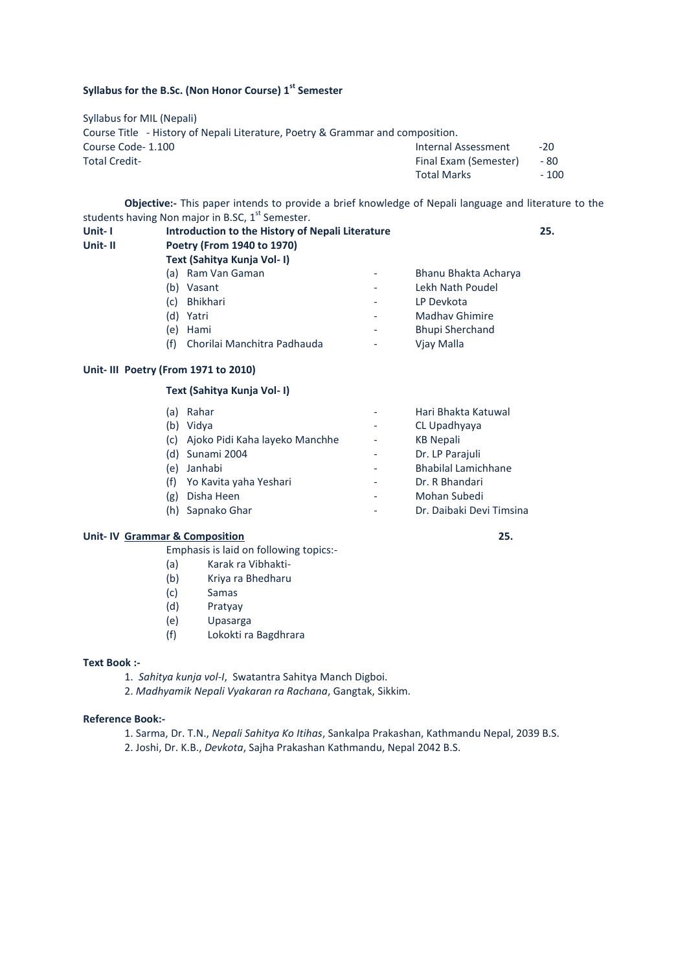# **Syllabus for the B.Sc. (Non Honor Course) 1st Semester**

Syllabus for MIL (Nepali) Course Title - History of Nepali Literature, Poetry & Grammar and composition. Course Code- 1.100<br>
Total CreditTotal CreditTotal CreditTotal CreditTotal CreditInternal Assessment
Course Code1.100
Internal Assessment
Internal Assessment
Internal Assessment
Internal Assessment
Internal Asse Final Exam (Semester) Total Marks - 100

**Objective:-** This paper intends to provide a brief knowledge of Nepali language and literature to the students having Non major in B.SC, 1<sup>st</sup> Semester.

| Unit-1<br>Unit-II | Introduction to the History of Nepali Literature<br>Poetry (From 1940 to 1970)<br>Text (Sahitya Kunja Vol- I) |                          |                        | 25. |
|-------------------|---------------------------------------------------------------------------------------------------------------|--------------------------|------------------------|-----|
|                   | Ram Van Gaman<br>a)                                                                                           | $\overline{\phantom{a}}$ | Bhanu Bhakta Acharya   |     |
|                   | Vasant<br>(b                                                                                                  | $\overline{\phantom{a}}$ | Lekh Nath Poudel       |     |
|                   | <b>Bhikhari</b><br>(c)                                                                                        | -                        | LP Devkota             |     |
|                   | (d)<br>Yatri                                                                                                  | $\overline{\phantom{a}}$ | <b>Madhay Ghimire</b>  |     |
|                   | Hami<br>e)                                                                                                    | ٠                        | <b>Bhupi Sherchand</b> |     |
|                   | Chorilai Manchitra Padhauda<br>(f)                                                                            | $\overline{\phantom{a}}$ | Viay Malla             |     |

## **Unit- III Poetry (From 1971 to 2010)**

## **Text (Sahitya Kunja Vol- I)**

| (a) | Rahar                              | Hari Bhakta Katuwal        |
|-----|------------------------------------|----------------------------|
| (b) | Vidva                              | CL Upadhyaya               |
|     | (c) Ajoko Pidi Kaha layeko Manchhe | <b>KB Nepali</b>           |
| (d) | Sunami 2004                        | Dr. LP Parajuli            |
| (e) | Janhabi                            | <b>Bhabilal Lamichhane</b> |
| (f) | Yo Kavita yaha Yeshari             | Dr. R Bhandari             |
| (g) | Disha Heen                         | Mohan Subedi               |
| (h) | Sapnako Ghar                       | Dr. Daibaki Devi Timsina   |

# **Unit- IV Grammar & Composition 25.**

Emphasis is laid on following topics:-

- (a) Karak ra Vibhakti-
- (b) Kriya ra Bhedharu
- (c) Samas
- (d) Pratyay
- (e) Upasarga
- (f) Lokokti ra Bagdhrara

#### **Text Book :-**

- 1. *Sahitya kunja vol-I*, Swatantra Sahitya Manch Digboi.
- 2. *Madhyamik Nepali Vyakaran ra Rachana*, Gangtak, Sikkim.

#### **Reference Book:-**

1. Sarma, Dr. T.N., *Nepali Sahitya Ko Itihas*, Sankalpa Prakashan, Kathmandu Nepal, 2039 B.S. 2. Joshi, Dr. K.B., *Devkota*, Sajha Prakashan Kathmandu, Nepal 2042 B.S.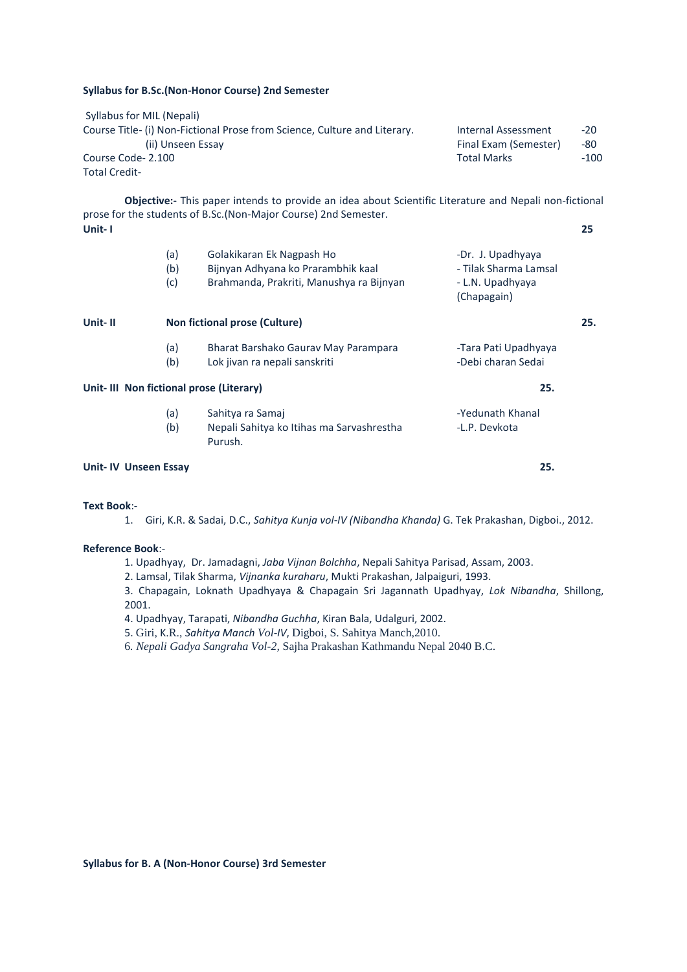#### **Syllabus for B.Sc.(Non-Honor Course) 2nd Semester**

| Syllabus for MIL (Nepali)                                                 |                       |        |
|---------------------------------------------------------------------------|-----------------------|--------|
| Course Title- (i) Non-Fictional Prose from Science, Culture and Literary. | Internal Assessment   | $-20$  |
| (ii) Unseen Essay                                                         | Final Exam (Semester) | -80    |
| Course Code-2.100                                                         | <b>Total Marks</b>    | $-100$ |
| <b>Total Credit-</b>                                                      |                       |        |

**Objective:-** This paper intends to provide an idea about Scientific Literature and Nepali non-fictional prose for the students of B.Sc.(Non-Major Course) 2nd Semester. **Unit- I 25**

|                             | (a)<br>(b)<br>(c) | Golakikaran Ek Nagpash Ho<br>Bijnyan Adhyana ko Prarambhik kaal<br>Brahmanda, Prakriti, Manushya ra Bijnyan | -Dr. J. Upadhyaya<br>- Tilak Sharma Lamsal<br>- L.N. Upadhyaya<br>(Chapagain) |     |
|-----------------------------|-------------------|-------------------------------------------------------------------------------------------------------------|-------------------------------------------------------------------------------|-----|
| Unit-II                     |                   | Non fictional prose (Culture)                                                                               |                                                                               | 25. |
|                             | (a)<br>(b)        | Bharat Barshako Gaurav May Parampara<br>Lok jivan ra nepali sanskriti                                       | -Tara Pati Upadhyaya<br>-Debi charan Sedai                                    |     |
|                             |                   | Unit-III Non fictional prose (Literary)                                                                     | 25.                                                                           |     |
|                             | (a)<br>(b)        | Sahitya ra Samaj<br>Nepali Sahitya ko Itihas ma Sarvashrestha<br>Purush.                                    | -Yedunath Khanal<br>-L.P. Devkota                                             |     |
| <b>Unit-IV Unseen Essay</b> |                   |                                                                                                             | 25.                                                                           |     |

**Text Book**:-

1. Giri, K.R. & Sadai, D.C., *Sahitya Kunja vol-IV (Nibandha Khanda)* G. Tek Prakashan, Digboi., 2012.

#### **Reference Book**:-

1. Upadhyay, Dr. Jamadagni, *Jaba Vijnan Bolchha*, Nepali Sahitya Parisad, Assam, 2003.

2. Lamsal, Tilak Sharma, *Vijnanka kuraharu*, Mukti Prakashan, Jalpaiguri, 1993.

3. Chapagain, Loknath Upadhyaya & Chapagain Sri Jagannath Upadhyay, *Lok Nibandha*, Shillong, 2001.

4. Upadhyay, Tarapati, *Nibandha Guchha*, Kiran Bala, Udalguri, 2002.

5. Giri, K.R., *Sahitya Manch Vol-IV*, Digboi, S. Sahitya Manch,2010.

6*. Nepali Gadya Sangraha Vol-2,* Sajha Prakashan Kathmandu Nepal 2040 B.C.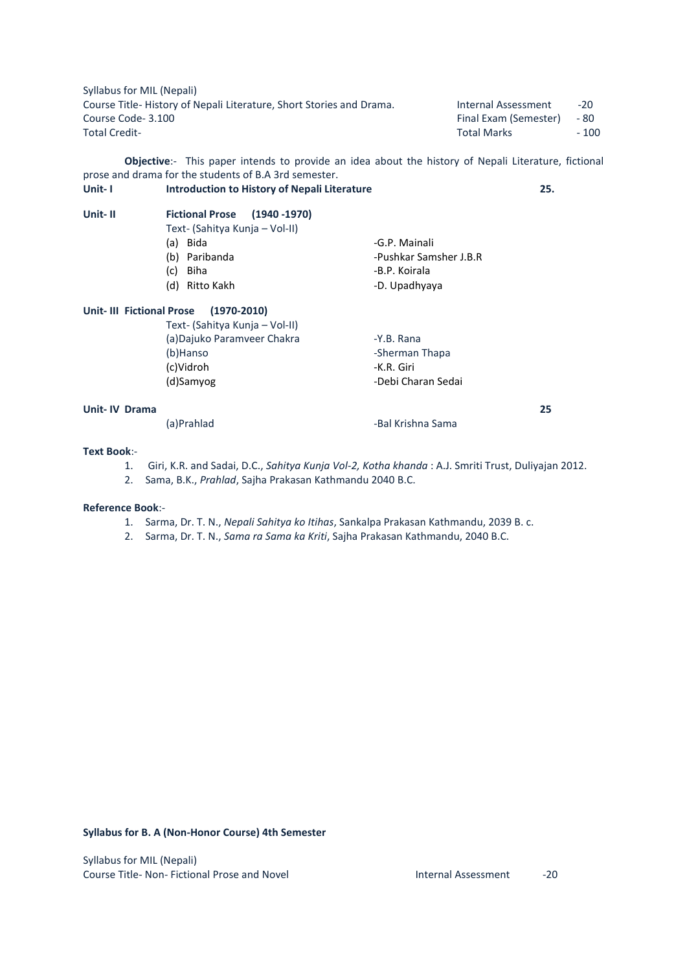Syllabus for MIL (Nepali) Course Title- History of Nepali Literature, Short Stories and Drama. Internal Assessment -20 Course Code- 3.100 Final Exam (Semester) - 80 Total Credit- **Total Credit- Total Marks**  $\sim$  100

**Objective**:- This paper intends to provide an idea about the history of Nepali Literature, fictional prose and drama for the students of B.A 3rd semester.

**Unit- I Introduction to History of Nepali Literature 25.**

| <b>Fictional Prose (1940 -1970)</b> |                        |
|-------------------------------------|------------------------|
| Text- (Sahitya Kunja - Vol-II)      |                        |
| (a) Bida                            | -G.P. Mainali          |
| (b) Paribanda                       | -Pushkar Samsher J.B.R |
| Biha<br>(c)                         | -B.P. Koirala          |
| (d) Ritto Kakh                      | -D. Upadhyaya          |
|                                     |                        |

### **Unit- III Fictional Prose (1970-2010)**

| Text- (Sahitya Kunja – Vol-II) |                    |    |
|--------------------------------|--------------------|----|
| (a)Dajuko Paramveer Chakra     | -Y.B. Rana         |    |
| (b)Hanso                       | -Sherman Thapa     |    |
| (c)Vidroh                      | -K.R. Giri         |    |
| (d)Samyog                      | -Debi Charan Sedai |    |
| Unit- IV Drama                 |                    | 25 |

(a)Prahlad -Bal Krishna Sama

# **Text Book**:-

**Unit- II Fictional Prose (1940 -1970)**

- 1. Giri, K.R. and Sadai, D.C., *Sahitya Kunja Vol-2, Kotha khanda* : A.J. Smriti Trust, Duliyajan 2012.
- 2. Sama, B.K., *Prahlad*, Sajha Prakasan Kathmandu 2040 B.C.

#### **Reference Book**:-

- 1. Sarma, Dr. T. N., *Nepali Sahitya ko Itihas*, Sankalpa Prakasan Kathmandu, 2039 B. c.
- 2. Sarma, Dr. T. N., *Sama ra Sama ka Kriti*, Sajha Prakasan Kathmandu, 2040 B.C.

### **Syllabus for B. A (Non-Honor Course) 4th Semester**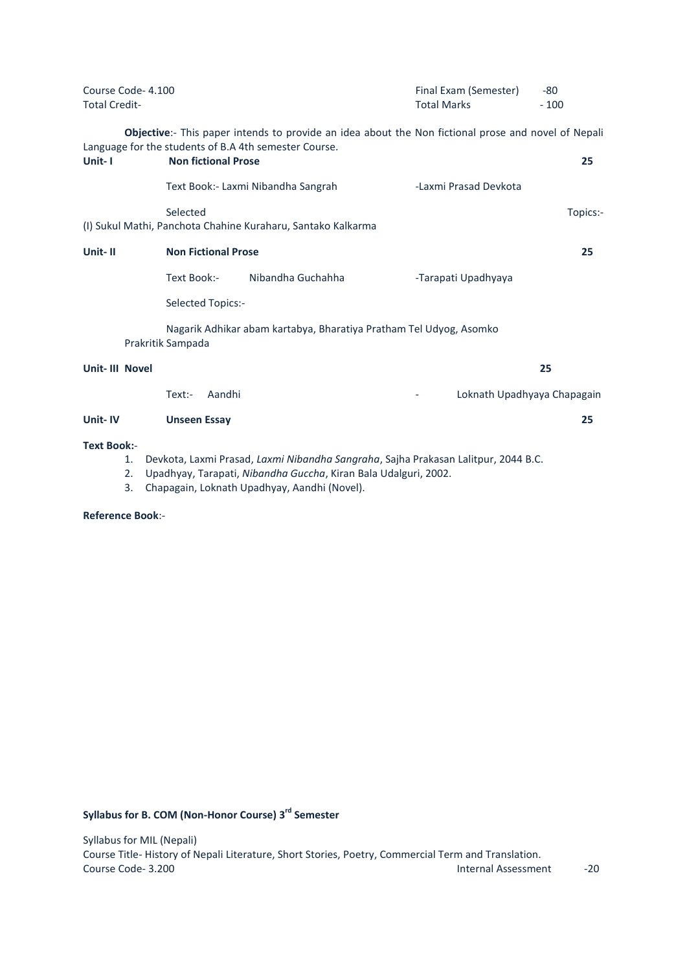| Course Code-4.100<br><b>Total Credit-</b> |                            |                                                              | Final Exam (Semester)<br><b>Total Marks</b>                                                         | $-80$<br>$-100$ |
|-------------------------------------------|----------------------------|--------------------------------------------------------------|-----------------------------------------------------------------------------------------------------|-----------------|
|                                           |                            | Language for the students of B.A 4th semester Course.        | Objective:- This paper intends to provide an idea about the Non fictional prose and novel of Nepali |                 |
| Unit-1                                    | <b>Non fictional Prose</b> |                                                              |                                                                                                     | 25              |
|                                           |                            | Text Book: - Laxmi Nibandha Sangrah                          | -Laxmi Prasad Devkota                                                                               |                 |
|                                           | Selected                   | (I) Sukul Mathi, Panchota Chahine Kuraharu, Santako Kalkarma |                                                                                                     | Topics:-        |
|                                           |                            |                                                              |                                                                                                     |                 |
| Unit-II                                   | <b>Non Fictional Prose</b> |                                                              |                                                                                                     | 25              |
|                                           | Text Book:-                | Nibandha Guchahha                                            | -Tarapati Upadhyaya                                                                                 |                 |
|                                           | Selected Topics:-          |                                                              |                                                                                                     |                 |
|                                           | Prakritik Sampada          |                                                              | Nagarik Adhikar abam kartabya, Bharatiya Pratham Tel Udyog, Asomko                                  |                 |
| Unit-III Novel                            |                            |                                                              |                                                                                                     | 25              |
|                                           | Aandhi<br>$Text:$ -        |                                                              | Loknath Upadhyaya Chapagain                                                                         |                 |
| Unit-IV                                   | <b>Unseen Essay</b>        |                                                              |                                                                                                     | 25              |
| <b>Text Book:-</b><br>1.                  |                            |                                                              | Devkota, Laxmi Prasad, Laxmi Nibandha Sangraha, Sajha Prakasan Lalitpur, 2044 B.C.                  |                 |

- 2. Upadhyay, Tarapati, *Nibandha Guccha*, Kiran Bala Udalguri, 2002.
- 3. Chapagain, Loknath Upadhyay, Aandhi (Novel).

**Reference Book**:-

**Syllabus for B. COM (Non-Honor Course) 3 rd Semester**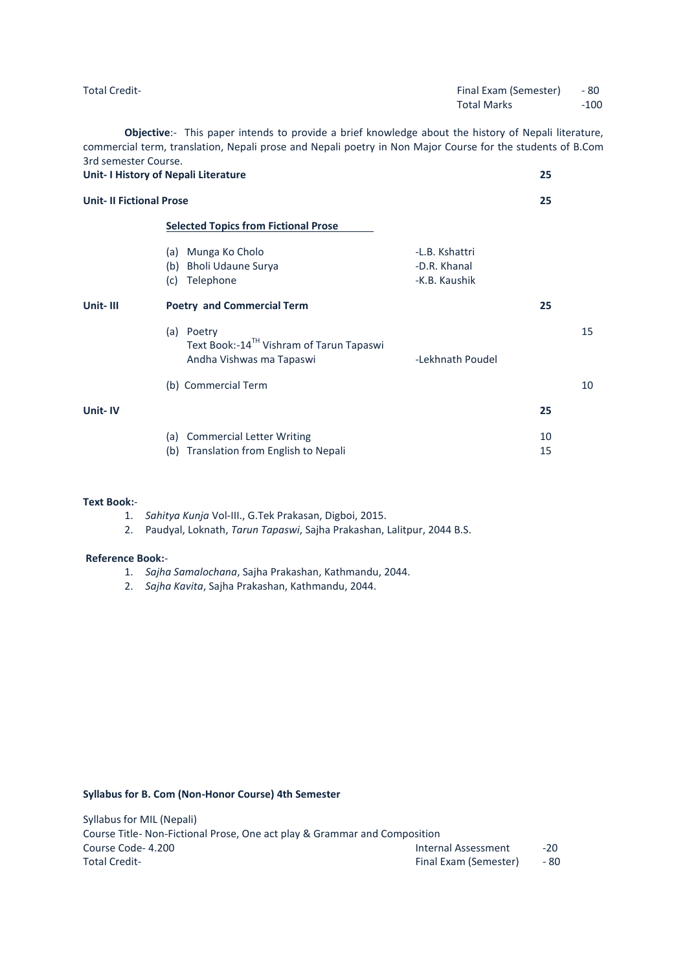| <b>Total Credit-</b> | Final Exam (Semester) | - 80   |
|----------------------|-----------------------|--------|
|                      | <b>Total Marks</b>    | $-100$ |
|                      |                       |        |

**Objective**:- This paper intends to provide a brief knowledge about the history of Nepali literature, commercial term, translation, Nepali prose and Nepali poetry in Non Major Course for the students of B.Com 3rd semester Course.

|                                | Unit- I History of Nepali Literature                                                              |                                                 | 25       |    |
|--------------------------------|---------------------------------------------------------------------------------------------------|-------------------------------------------------|----------|----|
| <b>Unit-II Fictional Prose</b> |                                                                                                   |                                                 | 25       |    |
|                                | <b>Selected Topics from Fictional Prose</b>                                                       |                                                 |          |    |
|                                | Munga Ko Cholo<br>(a)<br>Bholi Udaune Surya<br>(b)<br>Telephone<br>(c)                            | -L.B. Kshattri<br>-D.R. Khanal<br>-K.B. Kaushik |          |    |
| Unit-III                       | <b>Poetry and Commercial Term</b>                                                                 |                                                 | 25       |    |
|                                | Poetry<br>(a)<br>Text Book:-14 <sup>TH</sup> Vishram of Tarun Tapaswi<br>Andha Vishwas ma Tapaswi | -Lekhnath Poudel                                |          | 15 |
|                                | (b) Commercial Term                                                                               |                                                 |          | 10 |
| Unit-IV                        |                                                                                                   |                                                 | 25       |    |
|                                | <b>Commercial Letter Writing</b><br>(a)<br>Translation from English to Nepali<br>(b)              |                                                 | 10<br>15 |    |
|                                |                                                                                                   |                                                 |          |    |

# **Text Book:**-

- 1. *Sahitya Kunja* Vol-III., G.Tek Prakasan, Digboi, 2015.
- 2. Paudyal, Loknath, *Tarun Tapaswi*, Sajha Prakashan, Lalitpur, 2044 B.S.

#### **Reference Book:**-

- 1. *Sajha Samalochana*, Sajha Prakashan, Kathmandu, 2044.
- 2. *Sajha Kavita*, Sajha Prakashan, Kathmandu, 2044.

## **Syllabus for B. Com (Non-Honor Course) 4th Semester**

| Syllabus for MIL (Nepali)                                                 |                       |       |
|---------------------------------------------------------------------------|-----------------------|-------|
| Course Title- Non-Fictional Prose, One act play & Grammar and Composition |                       |       |
| Course Code-4.200                                                         | Internal Assessment   | $-20$ |
| <b>Total Credit-</b>                                                      | Final Exam (Semester) | - 80  |